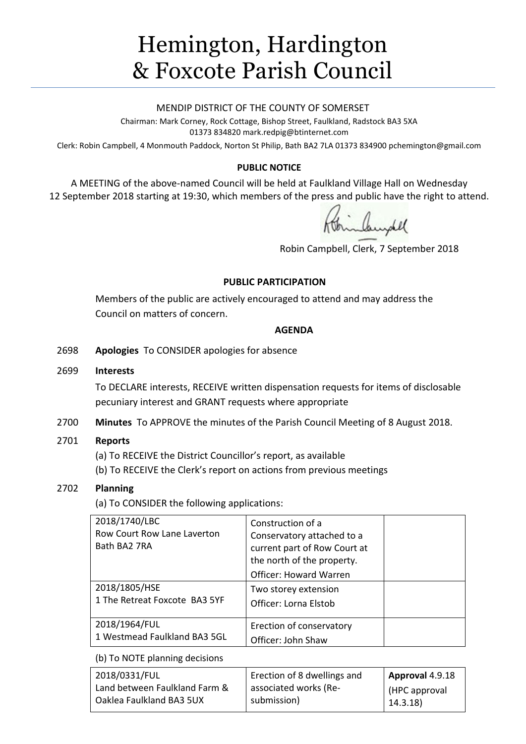# Hemington, Hardington & Foxcote Parish Council

#### MENDIP DISTRICT OF THE COUNTY OF SOMERSET

Chairman: Mark Corney, Rock Cottage, Bishop Street, Faulkland, Radstock BA3 5XA 01373 834820 mark.redpig@btinternet.com

Clerk: Robin Campbell, 4 Monmouth Paddock, Norton St Philip, Bath BA2 7LA 01373 834900 [pchemington@gmail.com](mailto:pchemington@gmail.com)

## **PUBLIC NOTICE**

A MEETING of the above-named Council will be held at Faulkland Village Hall on Wednesday 12 September 2018 starting at 19:30, which members of the press and public have the right to attend.

Robin Campbell, Clerk, 7 September 2018

## **PUBLIC PARTICIPATION**

Members of the public are actively encouraged to attend and may address the Council on matters of concern.

## **AGENDA**

2698 **Apologies** To CONSIDER apologies for absence

## 2699 **Interests**

To DECLARE interests, RECEIVE written dispensation requests for items of disclosable pecuniary interest and GRANT requests where appropriate

2700 **Minutes** To APPROVE the minutes of the Parish Council Meeting of 8 August 2018.

# 2701 **Reports**

(a) To RECEIVE the District Councillor's report, as available

(b) To RECEIVE the Clerk's report on actions from previous meetings

# 2702 **Planning**

(a) To CONSIDER the following applications:

| 2018/1740/LBC<br>Row Court Row Lane Laverton<br>Bath BA2 7RA | Construction of a<br>Conservatory attached to a<br>current part of Row Court at<br>the north of the property.<br><b>Officer: Howard Warren</b> |  |
|--------------------------------------------------------------|------------------------------------------------------------------------------------------------------------------------------------------------|--|
| 2018/1805/HSE<br>1 The Retreat Foxcote BA3 5YF               | Two storey extension<br>Officer: Lorna Elstob                                                                                                  |  |
| 2018/1964/FUL<br>1 Westmead Faulkland BA3 5GL                | Erection of conservatory<br>Officer: John Shaw                                                                                                 |  |

(b) To NOTE planning decisions

| 2018/0331/FUL                 | Erection of 8 dwellings and | Approval 4.9.18 |
|-------------------------------|-----------------------------|-----------------|
| Land between Faulkland Farm & | associated works (Re-       | HPC approval    |
| Oaklea Faulkland BA3 5UX      | submission)                 | 14.3.18)        |